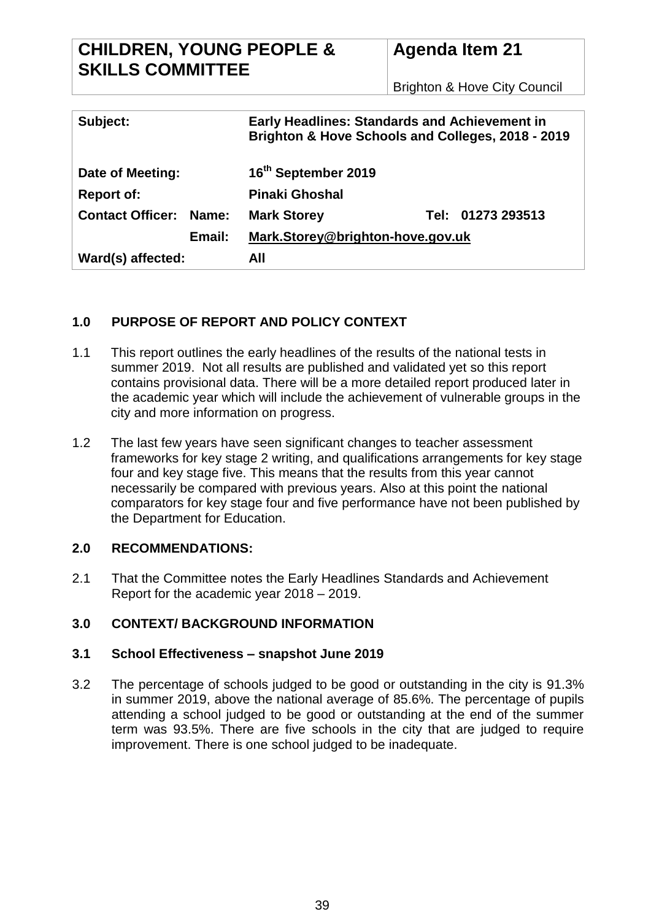# **CHILDREN, YOUNG PEOPLE & SKILLS COMMITTEE**

# **Agenda Item 21**

Brighton & Hove City Council

| Subject:                              |                 | <b>Early Headlines: Standards and Achievement in</b><br>Brighton & Hove Schools and Colleges, 2018 - 2019 |                        |  |
|---------------------------------------|-----------------|-----------------------------------------------------------------------------------------------------------|------------------------|--|
| Date of Meeting:<br><b>Report of:</b> |                 | 16 <sup>th</sup> September 2019<br><b>Pinaki Ghoshal</b>                                                  |                        |  |
| <b>Contact Officer:</b>               | Name:<br>Email: | <b>Mark Storey</b><br>Mark.Storey@brighton-hove.gov.uk                                                    | 01273 293513<br>Tel: I |  |
| Ward(s) affected:                     |                 | All                                                                                                       |                        |  |

# **1.0 PURPOSE OF REPORT AND POLICY CONTEXT**

- 1.1 This report outlines the early headlines of the results of the national tests in summer 2019. Not all results are published and validated yet so this report contains provisional data. There will be a more detailed report produced later in the academic year which will include the achievement of vulnerable groups in the city and more information on progress.
- 1.2 The last few years have seen significant changes to teacher assessment frameworks for key stage 2 writing, and qualifications arrangements for key stage four and key stage five. This means that the results from this year cannot necessarily be compared with previous years. Also at this point the national comparators for key stage four and five performance have not been published by the Department for Education.

# **2.0 RECOMMENDATIONS:**

2.1 That the Committee notes the Early Headlines Standards and Achievement Report for the academic year 2018 – 2019.

# **3.0 CONTEXT/ BACKGROUND INFORMATION**

# **3.1 School Effectiveness – snapshot June 2019**

3.2 The percentage of schools judged to be good or outstanding in the city is 91.3% in summer 2019, above the national average of 85.6%. The percentage of pupils attending a school judged to be good or outstanding at the end of the summer term was 93.5%. There are five schools in the city that are judged to require improvement. There is one school judged to be inadequate.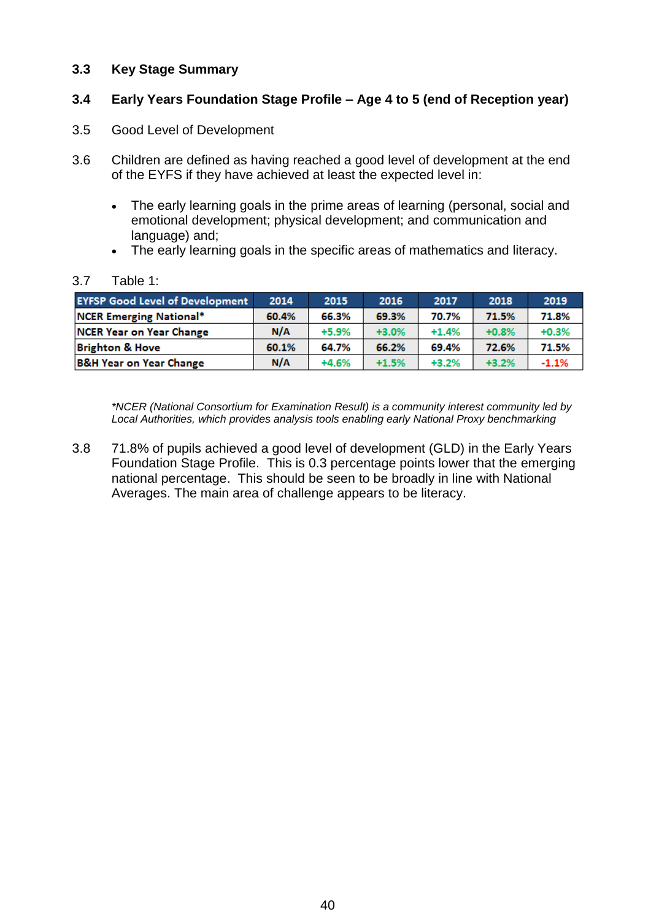### **3.3 Key Stage Summary**

## **3.4 Early Years Foundation Stage Profile – Age 4 to 5 (end of Reception year)**

- 3.5 Good Level of Development
- 3.6 Children are defined as having reached a good level of development at the end of the EYFS if they have achieved at least the expected level in:
	- The early learning goals in the prime areas of learning (personal, social and emotional development; physical development; and communication and language) and;
	- The early learning goals in the specific areas of mathematics and literacy.

#### 3.7 Table 1:

| <b>EYFSP Good Level of Development</b> | 2014  | 2015    | 2016    | 2017    | 2018    | 2019    |
|----------------------------------------|-------|---------|---------|---------|---------|---------|
| <b>NCER Emerging National*</b>         | 60.4% | 66.3%   | 69.3%   | 70.7%   | 71.5%   | 71.8%   |
| NCER Year on Year Change               | N/A   | $+5.9%$ | $+3.0%$ | $+1.4%$ | $+0.8%$ | $+0.3%$ |
| <b>Brighton &amp; Hove</b>             | 60.1% | 64.7%   | 66.2%   | 69.4%   | 72.6%   | 71.5%   |
| <b>B&amp;H Year on Year Change</b>     | N/A   | $+4.6%$ | $+1.5%$ | $+3.2%$ | $+3.2%$ | $-1.1%$ |

*\*NCER (National Consortium for Examination Result) is a community interest community led by Local Authorities, which provides analysis tools enabling early National Proxy benchmarking*

3.8 71.8% of pupils achieved a good level of development (GLD) in the Early Years Foundation Stage Profile. This is 0.3 percentage points lower that the emerging national percentage. This should be seen to be broadly in line with National Averages. The main area of challenge appears to be literacy.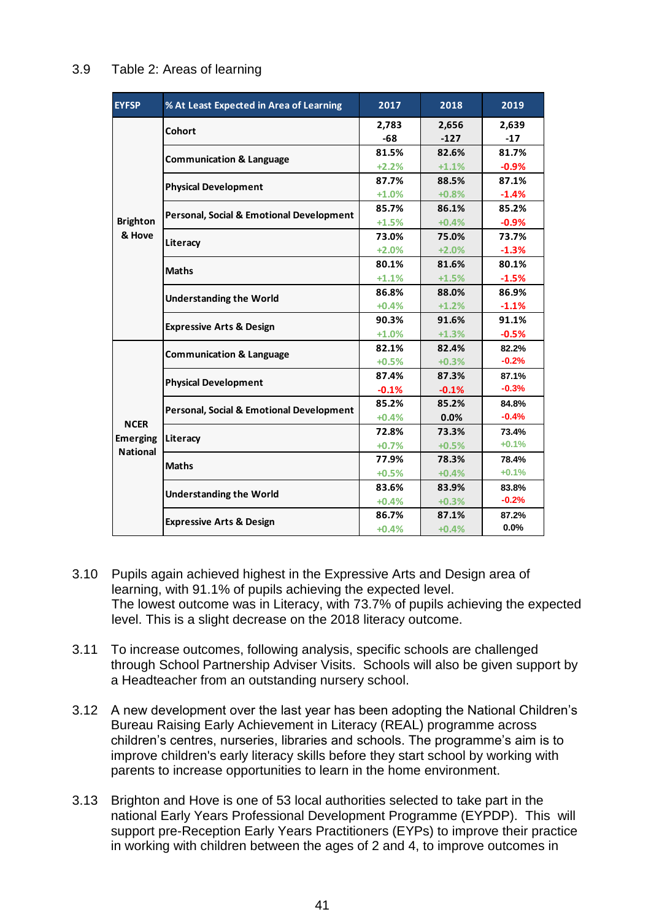| <b>EYFSP</b>    | % At Least Expected in Area of Learning                                                                                                                                                                                                                                                                                                                                                                                                                                                                        | 2017             | 2018    | 2019          |
|-----------------|----------------------------------------------------------------------------------------------------------------------------------------------------------------------------------------------------------------------------------------------------------------------------------------------------------------------------------------------------------------------------------------------------------------------------------------------------------------------------------------------------------------|------------------|---------|---------------|
|                 | <b>Cohort</b>                                                                                                                                                                                                                                                                                                                                                                                                                                                                                                  | 2,783            | 2,656   | 2,639         |
|                 |                                                                                                                                                                                                                                                                                                                                                                                                                                                                                                                | -68              | $-127$  | $-17$         |
|                 | <b>Communication &amp; Language</b>                                                                                                                                                                                                                                                                                                                                                                                                                                                                            | 81.5%            | 82.6%   | 81.7%         |
|                 |                                                                                                                                                                                                                                                                                                                                                                                                                                                                                                                | $+2.2%$          | $+1.1%$ | $-0.9%$       |
|                 | <b>Physical Development</b>                                                                                                                                                                                                                                                                                                                                                                                                                                                                                    | 87.7%            | 88.5%   | 87.1%         |
|                 |                                                                                                                                                                                                                                                                                                                                                                                                                                                                                                                | $+1.0%$          | $+0.8%$ | $-1.4%$       |
|                 | Personal, Social & Emotional Development                                                                                                                                                                                                                                                                                                                                                                                                                                                                       | 85.7%            | 86.1%   | 85.2%         |
| <b>Brighton</b> |                                                                                                                                                                                                                                                                                                                                                                                                                                                                                                                | $+1.5%$          | $+0.4%$ | $-0.9%$       |
| & Hove          | Literacy                                                                                                                                                                                                                                                                                                                                                                                                                                                                                                       | 73.0%            | 75.0%   | 73.7%         |
|                 |                                                                                                                                                                                                                                                                                                                                                                                                                                                                                                                | $+2.0%$          | $+2.0%$ | $-1.3%$       |
|                 | <b>Maths</b>                                                                                                                                                                                                                                                                                                                                                                                                                                                                                                   | 80.1%            | 81.6%   | 80.1%         |
|                 |                                                                                                                                                                                                                                                                                                                                                                                                                                                                                                                | $+1.1%$          | $+1.5%$ | $-1.5%$       |
|                 | <b>Understanding the World</b>                                                                                                                                                                                                                                                                                                                                                                                                                                                                                 | 86.8%            | 88.0%   | 86.9%         |
|                 |                                                                                                                                                                                                                                                                                                                                                                                                                                                                                                                | $+0.4%$          | $+1.2%$ | $-1.1%$       |
|                 | <b>Expressive Arts &amp; Design</b>                                                                                                                                                                                                                                                                                                                                                                                                                                                                            | 90.3%            | 91.6%   | 91.1%         |
|                 |                                                                                                                                                                                                                                                                                                                                                                                                                                                                                                                | $+1.0%$<br>82.1% | $+1.3%$ | $-0.5%$       |
|                 | <b>Communication &amp; Language</b>                                                                                                                                                                                                                                                                                                                                                                                                                                                                            |                  | 82.4%   | 82.2%         |
|                 |                                                                                                                                                                                                                                                                                                                                                                                                                                                                                                                | $+0.5%$          | $+0.3%$ | $-0.2%$       |
|                 | <b>Physical Development</b>                                                                                                                                                                                                                                                                                                                                                                                                                                                                                    | 87.4%            | 87.3%   | 87.1%         |
|                 |                                                                                                                                                                                                                                                                                                                                                                                                                                                                                                                | $-0.1%$          | $-0.1%$ | $-0.3%$       |
|                 | Personal, Social & Emotional Development<br>Literacy                                                                                                                                                                                                                                                                                                                                                                                                                                                           | 85.2%            | 85.2%   | 84.8%         |
| <b>NCER</b>     |                                                                                                                                                                                                                                                                                                                                                                                                                                                                                                                | $+0.4%$          | 0.0%    | $-0.4%$       |
| <b>Emerging</b> |                                                                                                                                                                                                                                                                                                                                                                                                                                                                                                                | 72.8%            | 73.3%   | 73.4%         |
| <b>National</b> |                                                                                                                                                                                                                                                                                                                                                                                                                                                                                                                | $+0.7%$          | $+0.5%$ | $+0.1%$       |
|                 | <b>Maths</b>                                                                                                                                                                                                                                                                                                                                                                                                                                                                                                   | 77.9%            | 78.3%   | 78.4%         |
|                 |                                                                                                                                                                                                                                                                                                                                                                                                                                                                                                                | $+0.5%$          | $+0.4%$ | $+0.1%$       |
|                 | <b>Understanding the World</b>                                                                                                                                                                                                                                                                                                                                                                                                                                                                                 | 83.6%            | 83.9%   | 83.8%         |
|                 |                                                                                                                                                                                                                                                                                                                                                                                                                                                                                                                | $+0.4%$          | $+0.3%$ | $-0.2%$       |
|                 | <b>Expressive Arts &amp; Design</b>                                                                                                                                                                                                                                                                                                                                                                                                                                                                            | 86.7%            | 87.1%   | 87.2%<br>0.0% |
|                 |                                                                                                                                                                                                                                                                                                                                                                                                                                                                                                                | $+0.4%$          | $+0.4%$ |               |
|                 | Pupils again achieved highest in the Expressive Arts and Design area of<br>learning, with 91.1% of pupils achieving the expected level.<br>The lowest outcome was in Literacy, with 73.7% of pupils achieving the expect-<br>level. This is a slight decrease on the 2018 literacy outcome.<br>To increase outcomes, following analysis, specific schools are challenged<br>through School Partnership Adviser Visits. Schools will also be given support<br>a Headteacher from an outstanding nursery school. |                  |         |               |
|                 | A new development over the last year has been adopting the National Childre<br>Bureau Raising Early Achievement in Literacy (REAL) programme across<br>children's centres, nurseries, libraries and schools. The programme's aim is to<br>improve children's early literacy skills before they start school by working with                                                                                                                                                                                    |                  |         |               |
|                 | parents to increase opportunities to learn in the home environment.<br>Brighton and Hove is one of 53 local authorities selected to take part in the<br>national Early Years Professional Development Programme (EYPDP). This v<br>support pre-Reception Early Years Practitioners (EYPs) to improve their pract<br>in working with children between the ages of 2 and 4, to improve outcomes in                                                                                                               |                  |         |               |

#### 3.9 Table 2: Areas of learning

- 3.10 Pupils again achieved highest in the Expressive Arts and Design area of learning, with 91.1% of pupils achieving the expected level. The lowest outcome was in Literacy, with 73.7% of pupils achieving the expected level. This is a slight decrease on the 2018 literacy outcome.
- 3.11 To increase outcomes, following analysis, specific schools are challenged through School Partnership Adviser Visits. Schools will also be given support by a Headteacher from an outstanding nursery school.
- 3.12 A new development over the last year has been adopting the National Children's Bureau Raising Early Achievement in Literacy (REAL) programme across children's centres, nurseries, libraries and schools. The programme's aim is to improve children's early literacy skills before they start school by working with parents to increase opportunities to learn in the home environment.
- 3.13 Brighton and Hove is one of 53 local authorities selected to take part in the national Early Years Professional Development Programme (EYPDP). This will support pre-Reception Early Years Practitioners (EYPs) to improve their practice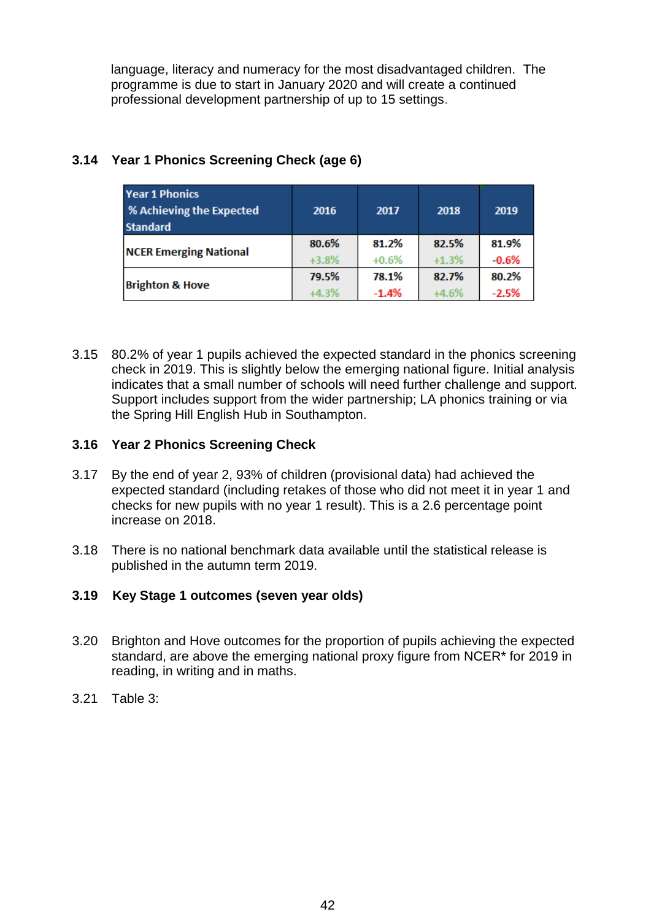language, literacy and numeracy for the most disadvantaged children. The programme is due to start in January 2020 and will create a continued professional development partnership of up to 15 settings.

| <b>Year 1 Phonics</b><br>% Achieving the Expected<br><b>Standard</b> | 2016    | 2017    | 2018    | 2019    |
|----------------------------------------------------------------------|---------|---------|---------|---------|
|                                                                      | 80.6%   | 81.2%   | 82.5%   | 81.9%   |
| <b>NCER Emerging National</b>                                        | $+3.8%$ | $+0.6%$ | $+1.3%$ | $-0.6%$ |
|                                                                      | 79.5%   | 78.1%   | 82.7%   | 80.2%   |
| <b>Brighton &amp; Hove</b>                                           | $+4.3%$ | $-1.4%$ | $+4.6%$ | $-2.5%$ |

# **3.14 Year 1 Phonics Screening Check (age 6)**

3.15 80.2% of year 1 pupils achieved the expected standard in the phonics screening check in 2019. This is slightly below the emerging national figure. Initial analysis indicates that a small number of schools will need further challenge and support. Support includes support from the wider partnership; LA phonics training or via the Spring Hill English Hub in Southampton.

# **3.16 Year 2 Phonics Screening Check**

- 3.17 By the end of year 2, 93% of children (provisional data) had achieved the expected standard (including retakes of those who did not meet it in year 1 and checks for new pupils with no year 1 result). This is a 2.6 percentage point increase on 2018.
- 3.18 There is no national benchmark data available until the statistical release is published in the autumn term 2019.

# **3.19 Key Stage 1 outcomes (seven year olds)**

- 3.20 Brighton and Hove outcomes for the proportion of pupils achieving the expected standard, are above the emerging national proxy figure from NCER\* for 2019 in reading, in writing and in maths.
- 3.21 Table 3: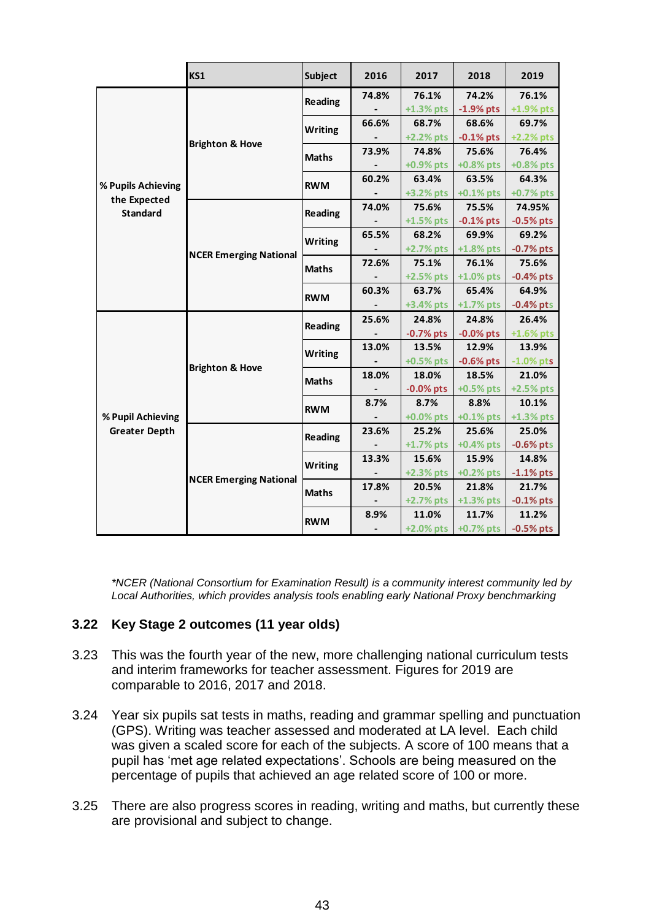|                      | KS1                           | <b>Subject</b> | 2016  | 2017         | 2018                      | 2019         |
|----------------------|-------------------------------|----------------|-------|--------------|---------------------------|--------------|
|                      |                               | Reading        | 74.8% | 76.1%        | 74.2%                     | 76.1%        |
|                      |                               |                |       | $+1.3%$ pts  | $-1.9%$ pts               | +1.9% pts    |
|                      |                               | <b>Writing</b> | 66.6% | 68.7%        | 68.6%                     | 69.7%        |
|                      | <b>Brighton &amp; Hove</b>    |                |       | $+2.2%$ pts  | $-0.1\%$ pts              | +2.2% pts    |
|                      |                               | <b>Maths</b>   | 73.9% | 74.8%        | 75.6%                     | 76.4%        |
|                      |                               |                |       | +0.9% pts    | $+0.8%$ pts               | +0.8% pts    |
| % Pupils Achieving   |                               | <b>RWM</b>     | 60.2% | 63.4%        | 63.5%                     | 64.3%        |
| the Expected         |                               |                |       | $+3.2%$ pts  | $+0.1\%$ pts              | +0.7% pts    |
| <b>Standard</b>      |                               | Reading        | 74.0% | 75.6%        | 75.5%                     | 74.95%       |
|                      |                               |                |       | $+1.5\%$ pts | $-0.1\%$ pts              | $-0.5%$ pts  |
|                      |                               | <b>Writing</b> | 65.5% | 68.2%        | 69.9%                     | 69.2%        |
|                      | <b>NCER Emerging National</b> |                |       |              | +2.7% pts $+1.8%$ pts     | $-0.7%$ pts  |
|                      |                               | <b>Maths</b>   | 72.6% | 75.1%        | 76.1%                     | 75.6%        |
|                      |                               |                |       | $+2.5%$ pts  | $+1.0\%$ pts              | $-0.4%$ pts  |
|                      |                               | <b>RWM</b>     | 60.3% | 63.7%        | 65.4%                     | 64.9%        |
|                      |                               |                |       |              | +3.4% pts +1.7% pts       | $-0.4%$ pts  |
|                      |                               | Reading        | 25.6% | 24.8%        | 24.8%                     | 26.4%        |
|                      |                               |                |       | $-0.7%$ pts  | $-0.0\%$ pts              | $+1.6\%$ pts |
|                      |                               | <b>Writing</b> | 13.0% | 13.5%        | 12.9%                     | 13.9%        |
|                      | <b>Brighton &amp; Hove</b>    |                |       | $+0.5%$ pts  | $-0.6%$ pts               | $-1.0\%$ pts |
|                      |                               | <b>Maths</b>   | 18.0% | 18.0%        | 18.5%                     | 21.0%        |
|                      |                               |                |       | $-0.0\%$ pts | $+0.5%$ pts               | +2.5% pts    |
|                      |                               | <b>RWM</b>     | 8.7%  | 8.7%         | 8.8%                      | 10.1%        |
| % Pupil Achieving    |                               |                |       | $+0.0\%$ pts | $+0.1\%$ pts              | $+1.3%$ pts  |
| <b>Greater Depth</b> |                               | Reading        | 23.6% | 25.2%        | 25.6%                     | 25.0%        |
|                      |                               |                |       |              | $+1.7\%$ pts $+0.4\%$ pts | $-0.6%$ pts  |
|                      |                               | <b>Writing</b> | 13.3% | 15.6%        | 15.9%                     | 14.8%        |
|                      | <b>NCER Emerging National</b> |                |       | $+2.3\%$ pts | $+0.2%$ pts               | $-1.1\%$ pts |
|                      |                               | <b>Maths</b>   | 17.8% | 20.5%        | 21.8%                     | 21.7%        |
|                      |                               |                |       |              | $+2.7\%$ pts $+1.3\%$ pts | $-0.1\%$ pts |
|                      |                               | <b>RWM</b>     | 8.9%  | 11.0%        | 11.7%                     | 11.2%        |
|                      |                               |                |       |              | +2.0% pts +0.7% pts       | $-0.5%$ pts  |

*\*NCER (National Consortium for Examination Result) is a community interest community led by Local Authorities, which provides analysis tools enabling early National Proxy benchmarking*

# **3.22 Key Stage 2 outcomes (11 year olds)**

- 3.23 This was the fourth year of the new, more challenging national curriculum tests and interim frameworks for teacher assessment. Figures for 2019 are comparable to 2016, 2017 and 2018.
- 3.24 Year six pupils sat tests in maths, reading and grammar spelling and punctuation (GPS). Writing was teacher assessed and moderated at LA level. Each child was given a scaled score for each of the subjects. A score of 100 means that a pupil has 'met age related expectations'. Schools are being measured on the percentage of pupils that achieved an age related score of 100 or more.
- 3.25 There are also progress scores in reading, writing and maths, but currently these are provisional and subject to change.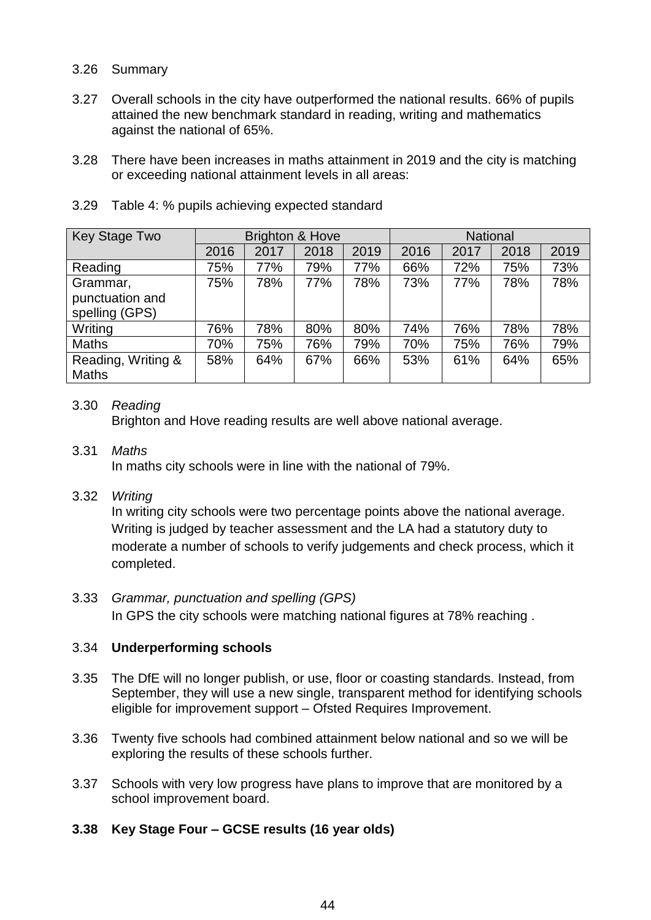#### 3.26 Summary

- 3.27 Overall schools in the city have outperformed the national results. 66% of pupils attained the new benchmark standard in reading, writing and mathematics against the national of 65%.
- 3.28 There have been increases in maths attainment in 2019 and the city is matching or exceeding national attainment levels in all areas:

| <b>Key Stage Two</b> | <b>Brighton &amp; Hove</b> |      |      | <b>National</b> |      |      |      |      |
|----------------------|----------------------------|------|------|-----------------|------|------|------|------|
|                      | 2016                       | 2017 | 2018 | 2019            | 2016 | 2017 | 2018 | 2019 |
| Reading              | 75%                        | 77%  | 79%  | 77%             | 66%  | 72%  | 75%  | 73%  |
| Grammar,             | 75%                        | 78%  | 77%  | 78%             | 73%  | 77%  | 78%  | 78%  |
| punctuation and      |                            |      |      |                 |      |      |      |      |
| spelling (GPS)       |                            |      |      |                 |      |      |      |      |
| Writing              | 76%                        | 78%  | 80%  | 80%             | 74%  | 76%  | 78%  | 78%  |
| <b>Maths</b>         | 70%                        | 75%  | 76%  | 79%             | 70%  | 75%  | 76%  | 79%  |
| Reading, Writing &   | 58%                        | 64%  | 67%  | 66%             | 53%  | 61%  | 64%  | 65%  |
| <b>Maths</b>         |                            |      |      |                 |      |      |      |      |

3.29 Table 4: % pupils achieving expected standard

### 3.30 *Reading*

Brighton and Hove reading results are well above national average.

### 3.31 *Maths*

In maths city schools were in line with the national of 79%.

### 3.32 *Writing*

In writing city schools were two percentage points above the national average. Writing is judged by teacher assessment and the LA had a statutory duty to moderate a number of schools to verify judgements and check process, which it completed.

3.33 *Grammar, punctuation and spelling (GPS)* In GPS the city schools were matching national figures at 78% reaching .

# 3.34 **Underperforming schools**

- 3.35 The DfE will no longer publish, or use, floor or coasting standards. Instead, from September, they will use a new single, transparent method for identifying schools eligible for improvement support – Ofsted Requires Improvement.
- 3.36 Twenty five schools had combined attainment below national and so we will be exploring the results of these schools further.
- 3.37 Schools with very low progress have plans to improve that are monitored by a school improvement board.

# **3.38 Key Stage Four – GCSE results (16 year olds)**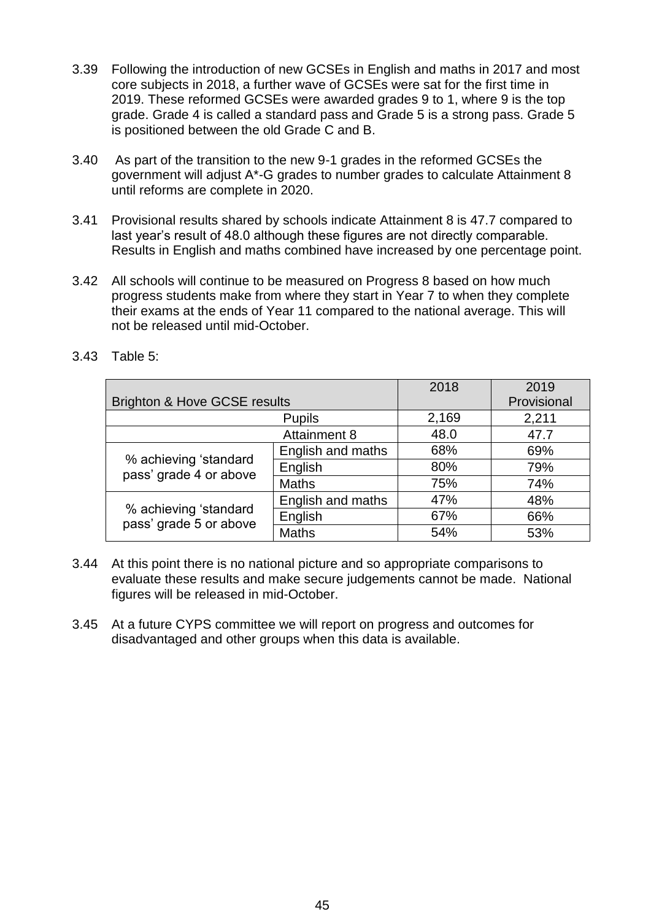- 3.39 Following the introduction of new GCSEs in English and maths in 2017 and most core subjects in 2018, a further wave of GCSEs were sat for the first time in 2019. These reformed GCSEs were awarded grades 9 to 1, where 9 is the top grade. Grade 4 is called a standard pass and Grade 5 is a strong pass. Grade 5 is positioned between the old Grade C and B.
- 3.40 As part of the transition to the new 9-1 grades in the reformed GCSEs the government will adjust A\*-G grades to number grades to calculate Attainment 8 until reforms are complete in 2020.
- 3.41 Provisional results shared by schools indicate Attainment 8 is 47.7 compared to last year's result of 48.0 although these figures are not directly comparable. Results in English and maths combined have increased by one percentage point.
- 3.42 All schools will continue to be measured on Progress 8 based on how much progress students make from where they start in Year 7 to when they complete their exams at the ends of Year 11 compared to the national average. This will not be released until mid-October.

|                                                 | 2018                | 2019        |      |
|-------------------------------------------------|---------------------|-------------|------|
| <b>Brighton &amp; Hove GCSE results</b>         |                     | Provisional |      |
|                                                 | 2,169               | 2,211       |      |
|                                                 | <b>Attainment 8</b> | 48.0        | 47.7 |
| % achieving 'standard<br>pass' grade 4 or above | English and maths   | 68%         | 69%  |
|                                                 | English             | 80%         | 79%  |
|                                                 | <b>Maths</b>        | 75%         | 74%  |
|                                                 | English and maths   | 47%         | 48%  |
| % achieving 'standard<br>pass' grade 5 or above | English             | 67%         | 66%  |
|                                                 | <b>Maths</b>        | 54%         | 53%  |

3.43 Table 5:

- 3.44 At this point there is no national picture and so appropriate comparisons to evaluate these results and make secure judgements cannot be made. National figures will be released in mid-October.
- 3.45 At a future CYPS committee we will report on progress and outcomes for disadvantaged and other groups when this data is available.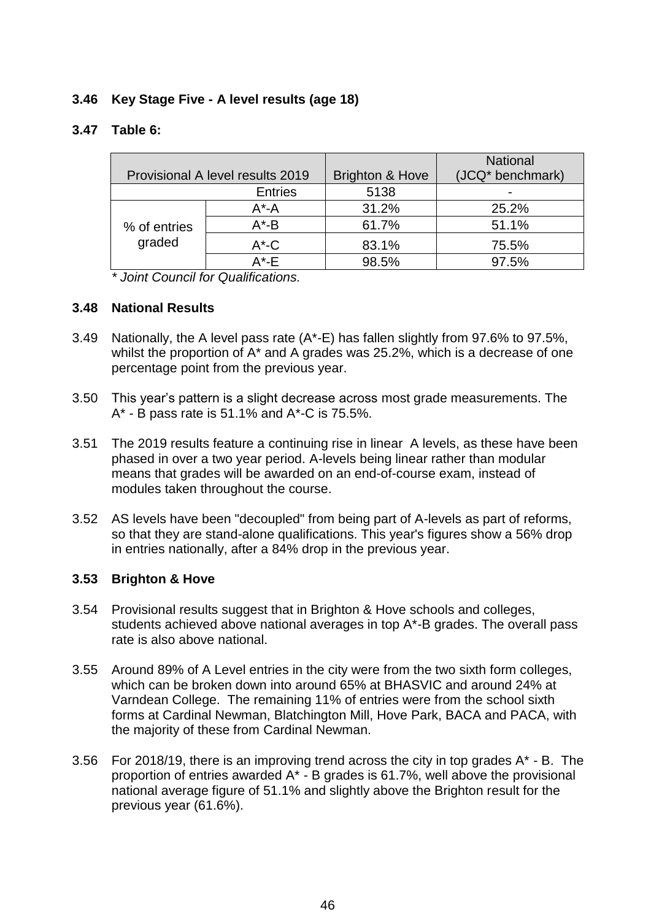# **3.46 Key Stage Five - A level results (age 18)**

### **3.47 Table 6:**

|                                  |                |                            | <b>National</b>  |
|----------------------------------|----------------|----------------------------|------------------|
| Provisional A level results 2019 |                | <b>Brighton &amp; Hove</b> | (JCQ* benchmark) |
|                                  | <b>Entries</b> | 5138                       |                  |
|                                  | $A^*$ -A       | 31.2%                      | 25.2%            |
| % of entries                     | $A^*$ -B       | 61.7%                      | 51.1%            |
| graded                           | $A^{\star}$ -C | 83.1%                      | 75.5%            |
|                                  | $A^*$ -F       | 98.5%                      | 97.5%            |

*\* Joint Council for Qualifications.*

#### **3.48 National Results**

- 3.49 Nationally, the A level pass rate (A\*-E) has fallen slightly from 97.6% to 97.5%, whilst the proportion of A\* and A grades was 25.2%, which is a decrease of one percentage point from the previous year.
- 3.50 This year's pattern is a slight decrease across most grade measurements. The A\* - B pass rate is 51.1% and A\*-C is 75.5%.
- 3.51 The 2019 results feature a continuing rise in linear A levels, as these have been phased in over a two year period. A-levels being linear rather than modular means that grades will be awarded on an end-of-course exam, instead of modules taken throughout the course.
- 3.52 AS levels have been "decoupled" from being part of A-levels as part of reforms, so that they are stand-alone qualifications. This year's figures show a 56% drop in entries nationally, after a 84% drop in the previous year.

#### **3.53 Brighton & Hove**

- 3.54 Provisional results suggest that in Brighton & Hove schools and colleges, students achieved above national averages in top A\*-B grades. The overall pass rate is also above national.
- 3.55 Around 89% of A Level entries in the city were from the two sixth form colleges, which can be broken down into around 65% at BHASVIC and around 24% at Varndean College. The remaining 11% of entries were from the school sixth forms at Cardinal Newman, Blatchington Mill, Hove Park, BACA and PACA, with the majority of these from Cardinal Newman.
- 3.56 For 2018/19, there is an improving trend across the city in top grades  $A^*$  B. The proportion of entries awarded A\* - B grades is 61.7%, well above the provisional national average figure of 51.1% and slightly above the Brighton result for the previous year (61.6%).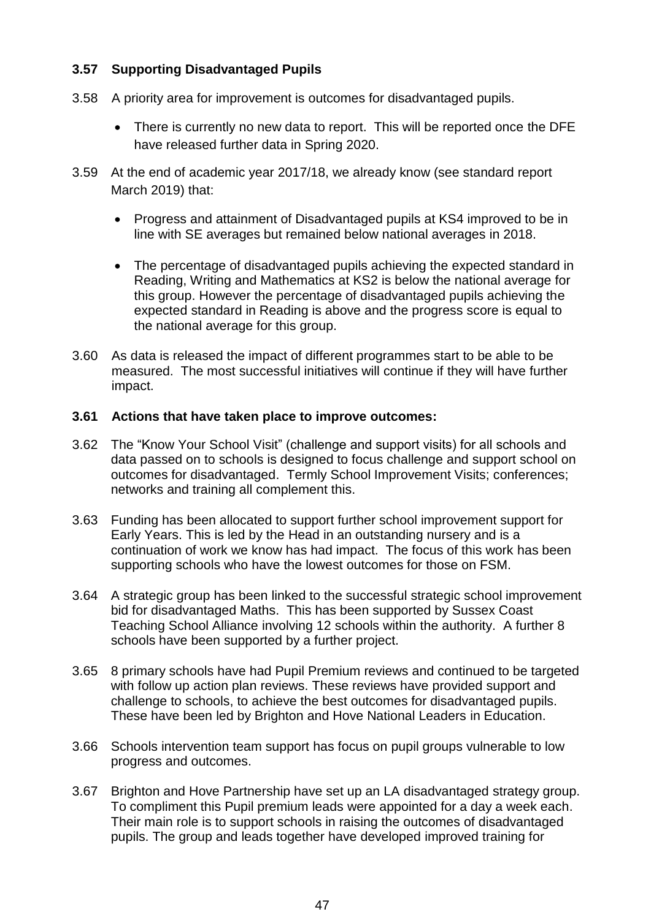# **3.57 Supporting Disadvantaged Pupils**

- 3.58 A priority area for improvement is outcomes for disadvantaged pupils.
	- There is currently no new data to report. This will be reported once the DFE have released further data in Spring 2020.
- 3.59 At the end of academic year 2017/18, we already know (see standard report March 2019) that:
	- Progress and attainment of Disadvantaged pupils at KS4 improved to be in line with SE averages but remained below national averages in 2018.
	- The percentage of disadvantaged pupils achieving the expected standard in Reading, Writing and Mathematics at KS2 is below the national average for this group. However the percentage of disadvantaged pupils achieving the expected standard in Reading is above and the progress score is equal to the national average for this group.
- 3.60 As data is released the impact of different programmes start to be able to be measured. The most successful initiatives will continue if they will have further impact.

### **3.61 Actions that have taken place to improve outcomes:**

- 3.62 The "Know Your School Visit" (challenge and support visits) for all schools and data passed on to schools is designed to focus challenge and support school on outcomes for disadvantaged. Termly School Improvement Visits; conferences; networks and training all complement this.
- 3.63 Funding has been allocated to support further school improvement support for Early Years. This is led by the Head in an outstanding nursery and is a continuation of work we know has had impact. The focus of this work has been supporting schools who have the lowest outcomes for those on FSM.
- 3.64 A strategic group has been linked to the successful strategic school improvement bid for disadvantaged Maths. This has been supported by Sussex Coast Teaching School Alliance involving 12 schools within the authority. A further 8 schools have been supported by a further project.
- 3.65 8 primary schools have had Pupil Premium reviews and continued to be targeted with follow up action plan reviews. These reviews have provided support and challenge to schools, to achieve the best outcomes for disadvantaged pupils. These have been led by Brighton and Hove National Leaders in Education.
- 3.66 Schools intervention team support has focus on pupil groups vulnerable to low progress and outcomes.
- 3.67 Brighton and Hove Partnership have set up an LA disadvantaged strategy group. To compliment this Pupil premium leads were appointed for a day a week each. Their main role is to support schools in raising the outcomes of disadvantaged pupils. The group and leads together have developed improved training for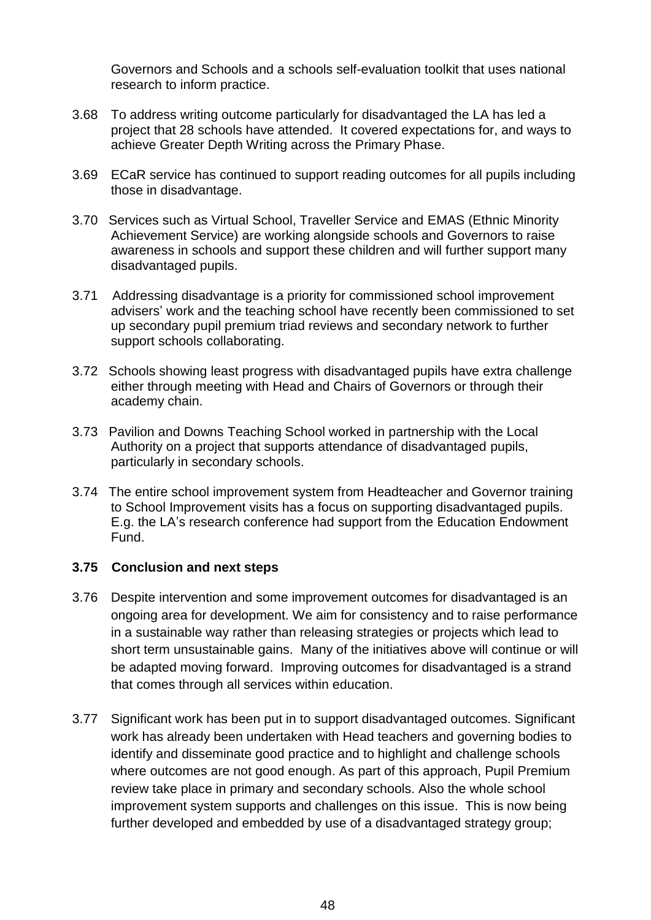Governors and Schools and a schools self-evaluation toolkit that uses national research to inform practice.

- 3.68 To address writing outcome particularly for disadvantaged the LA has led a project that 28 schools have attended. It covered expectations for, and ways to achieve Greater Depth Writing across the Primary Phase.
- 3.69 ECaR service has continued to support reading outcomes for all pupils including those in disadvantage.
- 3.70 Services such as Virtual School, Traveller Service and EMAS (Ethnic Minority Achievement Service) are working alongside schools and Governors to raise awareness in schools and support these children and will further support many disadvantaged pupils.
- 3.71 Addressing disadvantage is a priority for commissioned school improvement advisers' work and the teaching school have recently been commissioned to set up secondary pupil premium triad reviews and secondary network to further support schools collaborating.
- 3.72 Schools showing least progress with disadvantaged pupils have extra challenge either through meeting with Head and Chairs of Governors or through their academy chain.
- 3.73 Pavilion and Downs Teaching School worked in partnership with the Local Authority on a project that supports attendance of disadvantaged pupils, particularly in secondary schools.
- 3.74 The entire school improvement system from Headteacher and Governor training to School Improvement visits has a focus on supporting disadvantaged pupils. E.g. the LA's research conference had support from the Education Endowment Fund.

# **3.75 Conclusion and next steps**

- 3.76 Despite intervention and some improvement outcomes for disadvantaged is an ongoing area for development. We aim for consistency and to raise performance in a sustainable way rather than releasing strategies or projects which lead to short term unsustainable gains. Many of the initiatives above will continue or will be adapted moving forward. Improving outcomes for disadvantaged is a strand that comes through all services within education.
- 3.77 Significant work has been put in to support disadvantaged outcomes. Significant work has already been undertaken with Head teachers and governing bodies to identify and disseminate good practice and to highlight and challenge schools where outcomes are not good enough. As part of this approach, Pupil Premium review take place in primary and secondary schools. Also the whole school improvement system supports and challenges on this issue. This is now being further developed and embedded by use of a disadvantaged strategy group;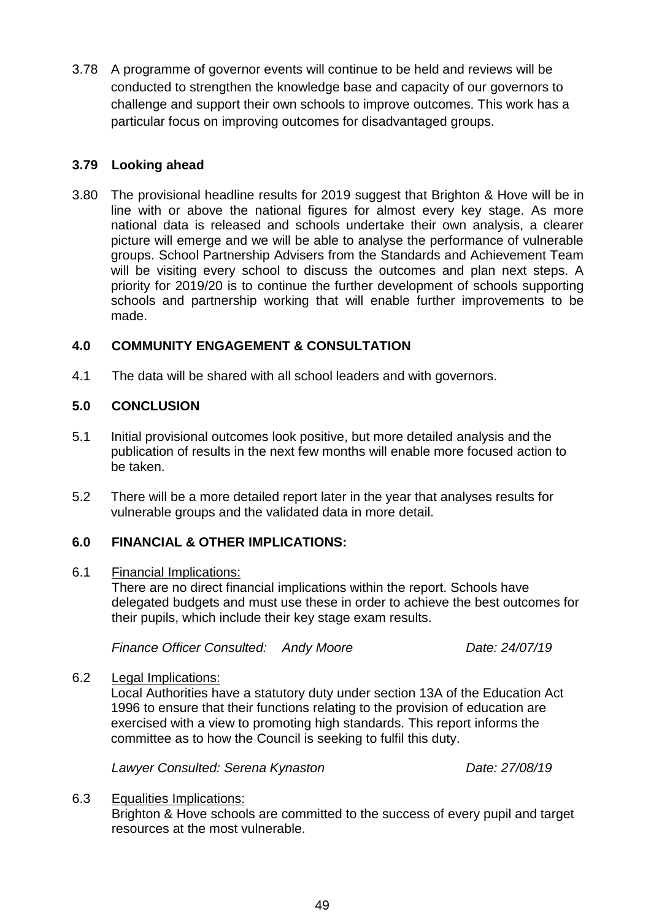3.78 A programme of governor events will continue to be held and reviews will be conducted to strengthen the knowledge base and capacity of our governors to challenge and support their own schools to improve outcomes. This work has a particular focus on improving outcomes for disadvantaged groups.

## **3.79 Looking ahead**

3.80 The provisional headline results for 2019 suggest that Brighton & Hove will be in line with or above the national figures for almost every key stage. As more national data is released and schools undertake their own analysis, a clearer picture will emerge and we will be able to analyse the performance of vulnerable groups. School Partnership Advisers from the Standards and Achievement Team will be visiting every school to discuss the outcomes and plan next steps. A priority for 2019/20 is to continue the further development of schools supporting schools and partnership working that will enable further improvements to be made.

### **4.0 COMMUNITY ENGAGEMENT & CONSULTATION**

4.1 The data will be shared with all school leaders and with governors.

### **5.0 CONCLUSION**

- 5.1 Initial provisional outcomes look positive, but more detailed analysis and the publication of results in the next few months will enable more focused action to be taken.
- 5.2 There will be a more detailed report later in the year that analyses results for vulnerable groups and the validated data in more detail.

# **6.0 FINANCIAL & OTHER IMPLICATIONS:**

#### 6.1 Financial Implications:

There are no direct financial implications within the report. Schools have delegated budgets and must use these in order to achieve the best outcomes for their pupils, which include their key stage exam results.

*Finance Officer Consulted: Andy Moore Date: 24/07/19*

#### 6.2 Legal Implications:

Local Authorities have a statutory duty under section 13A of the Education Act 1996 to ensure that their functions relating to the provision of education are exercised with a view to promoting high standards. This report informs the committee as to how the Council is seeking to fulfil this duty.

*Lawyer Consulted: Serena Kynaston Date: 27/08/19*

6.3 Equalities Implications: Brighton & Hove schools are committed to the success of every pupil and target resources at the most vulnerable.